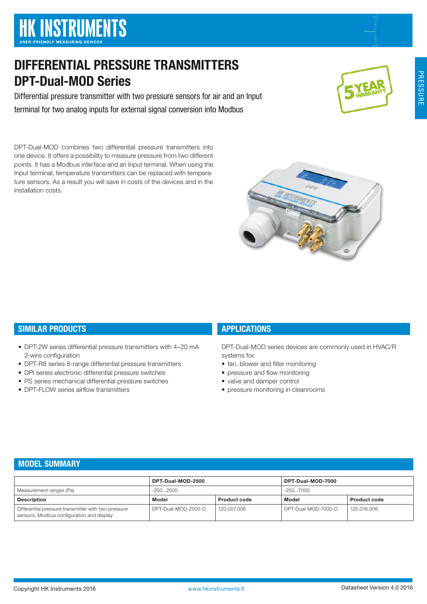# MODEL SUMMARY

SIMILAR PRODUCTS

2-wire configuration

• DPT-FLOW series airflow transmitters

|                                                                                                  | DPT-Dual-MOD-2500   |                     | DPT-Dual-MOD-7000   |                     |
|--------------------------------------------------------------------------------------------------|---------------------|---------------------|---------------------|---------------------|
| Measurement ranges (Pa)                                                                          | -2502500            |                     | -2507000            |                     |
| Description                                                                                      | Model               | <b>Product code</b> | Model               | <b>Product code</b> |
| Differential pressure transmitter with two pressure<br>sensors, Modbus configuration and display | DPT-Dual-MOD-2500-D | 120.007.006         | DPT-Dual-MOD-7000-D | 120.016.006         |

DPT-Dual-MOD combines two differential pressure transmitters into one device. It offers a possibility to measure pressure from two different points. It has a Modbus interface and an Input terminal. When using the Input terminal, temperature transmitters can be replaced with temperature sensors. As a result you will save in costs of the devices and in the

• DPT-2W series differential pressure transmitters with 4–20 mA

• DPT-R8 series 8-range differential pressure transmitters • DPI series electronic differential pressure switches • PS series mechanical differential pressure switches

DIFFERENTIAL PRESSURE TRANSMITTERS

terminal for two analog inputs for external signal conversion into Modbus

Differential pressure transmitter with two pressure sensors for air and an Input



• fan, blower and filter monitoring • pressure and flow monitoring • valve and damper control

• pressure monitoring in cleanrooms

APPLICATIONS

systems for:





DPT-Dual-MOD Series

installation costs.



DPT-Dual-MOD series devices are commonly used in HVAC/R